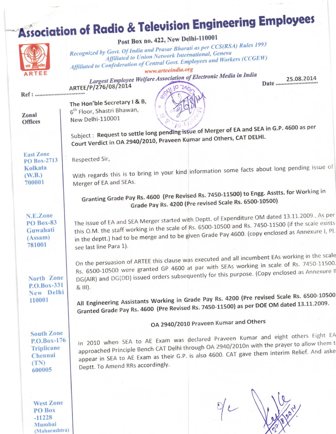# **Association of Radio & Television Engineering Employees**

Post Box no. 422, New Delhi-110001

25.08.2014 Date .........................

Recognized by Govt. Of India and Prasar Bharati as per CCS(RSA) Rules 1993 **Affiliated to Union Network International, Geneva** Affiliated to Confederation of Central Govt. Employees and Workers (CCGEW) www.arteeindia.org Largest Employee Welfare Association of Electronic Media in India ARTEE/P/276/08/2014 Ref : .................................. The Hon'ble Secretary I & B, 6<sup>th</sup> Floor, Shastri Bhawan, Zonal New Delhi-110001 **Offices** Subject: Request to settle long pending issue of Merger of EA and SEA in G.P. 4600 as per Court Verdict in OA 2940/2010, Praveen Kumar and Others, CAT DELHI. **East Zone** Respected Sir, PO Box-2713 With regards this is to bring in your kind information some facts about long pending issue of Kolkata  $(W.B.)$ Merger of EA and SEAs. 700001 Granting Grade Pay Rs. 4600 (Pre Revised Rs. 7450-11500) to Engg. Asstts. for Working in Grade Pay Rs. 4200 (Pre revised Scale Rs. 6500-10500) The issue of EA and SEA Merger started with Deptt. of Expenditure OM dated 13.11.2009. As per N.E.Zone this O.M. the staff working in the scale of Rs. 6500-10500 and Rs. 7450-11500 (if the scale exists **PO Box-83** in the deptt.) had to be merge and to be given Grade Pay 4600. (copy enclosed as Annexure I, Pl. Guwahati  $(Assam)$ 781001 see last line Para 1). On the persuasion of ARTEE this clause was executed and all incumbent EAs working in the scale Rs. 6500-10500 were granted GP 4600 at par with SEAs working in scale of Rs. 7450-11500. DG(AIR) and DG(DD) issued orders subsequently for this purpose. (Copy enclosed as Annexure I North Zone P.O.Box-331 & III). New Delhi All Engineering Assistants Working in Grade Pay Rs. 4200 (Pre revised Scale Rs. 6500-10500 110001 Granted Grade Pay Rs. 4600 (Pre Revised Rs. 7450-11500) as per DOE OM dated 13.11.2009. OA 2940/2010 Praveen Kumar and Others **South Zone** in 2010 when SEA to AE Exam was declared Praveen Kumar and eight others Eight EA P.O.Box-176 approached Principle Bench CAT Delhi through OA 2940/2010n with the prayer to allow them t **Triplicane** appear in SEA to AE Exam as their G.P. is also 4600. CAT gave them interim Relief. And aske Chennai  $(TN)$ Deptt. To Amend RRs accordingly. 600005 **West Zone** PO Box

 $-11228$ Mumbai (Maharashtra)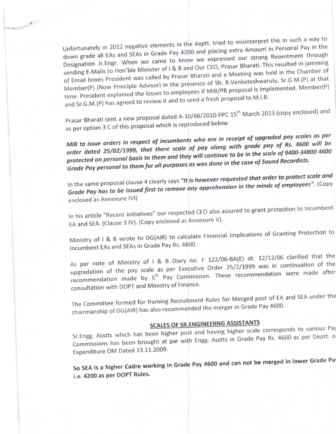Unfortunately in 2012 negative elements in the deptt. tried to misinterpret this in such a way to down grade all EAs and SEAs in Grade Pay 4200 and placing extra Amount in Personal Pay in the down grade all EAs and SEAs in Grade Pay 4200 and pressing our strong Resentment through<br>Designation Jr.Engr. When we came to know we expressed our strong Resentment through sending E-Mails to Hon'ble Minister of I & B and Our CEO, Prasar Bharati. This resulted in jamming of Email boxes President was called by Prasar Bharati and a Meeting was held in the Chamber of Member(P) (Now Principle Advisor) in the presence of 5.0. The complemented Member(P)<br>time. President explained the losses to employees if MIB/PB proposal is implemented. Member(P) Member(P) (Now Principle Advisor) in the presence of Sh. R.Venketeshwarulu, Sr.G.M.(P) at that and Sr.G.M.(P) has agreed to review it and to send a fresh proposal to M.I.B.

Prasar Bharati sent a new proposal dated A-10/66/2010-PPC 15<sup>th</sup> March 2013 (copy enclosed) and as per option 3 C of this proposal which is reproduced below

MIB to issue orders in respect of incumbents who are in receipt of upgraded pay scales as per order dated 25/02/1999, that there scale of pay along with grade pay of Rs. 4600 will be protected on personal basis to them and they will continue to be in the scale of 9400-34800 4600 Grade Pay personal to them for all purposes as was done in the case of Sound Recordists.

In the same proposal clause 4 clearly says "It is however requested that order to protect scale and Grade Pay has to be issued first to remove any apprehension in the minds of employees". (Copy enclosed as Annexure IVI)

In his article "Recent Initiatives" our respected CEO also assured to grant protection to Incumbent EA and SEA. (Clause 3 IV). (Copy enclosed as Annexure V).

Ministry of I & B wrote to DG(AIR) to calculate Financial Implications of Granting Protection to Incumbent EAs and SEAs in Grade Pay Rs. 4600.

As per note of Ministry of I & B Diary no. F 122/06 BA(E) are the pay scale as per Executive Order 25/2/1999 was in continuation of the pay scale as per Executive Order 25/2/1999 was in continuation of the pay scale as pe recommendation made by 5<sup>th</sup> Pay Commission. These recommendation were made after consultation with DOPT and Ministry of Finance'

The Committee formed for framing Recruitment Rules for Merged post of EA and SEA under the chairmanship of DG(AIR) has also recommended the merger in Grade Pay 4600.

### SCALES OF SR.ENGINEERNG ASSISTANTS

SCALLS OF SHELF DIMEN TRIMATE SCALE COTTERS ASSETS AND THE SERVICE PAY ASSETS ON THE ST. Engg. Asster Deptt. O<br>Sr.Engg. Asstts which has been higher post and having higher scale Pay Rs. 4600 as per Deptt. O Sr. Engg. Asstts which has been liigher post and haring the books.<br>Commissions has been brought at par with Engg. Asstts in Grade Pay Rs. 4600 as per Deptt. o Expenditure OM Dated 13.11.2009.

So sEA is a higher Cadre working in Grade Pay 4600 and can not be merged in lower Grade Pa' i.e. 4200 as per DOPT Rules.